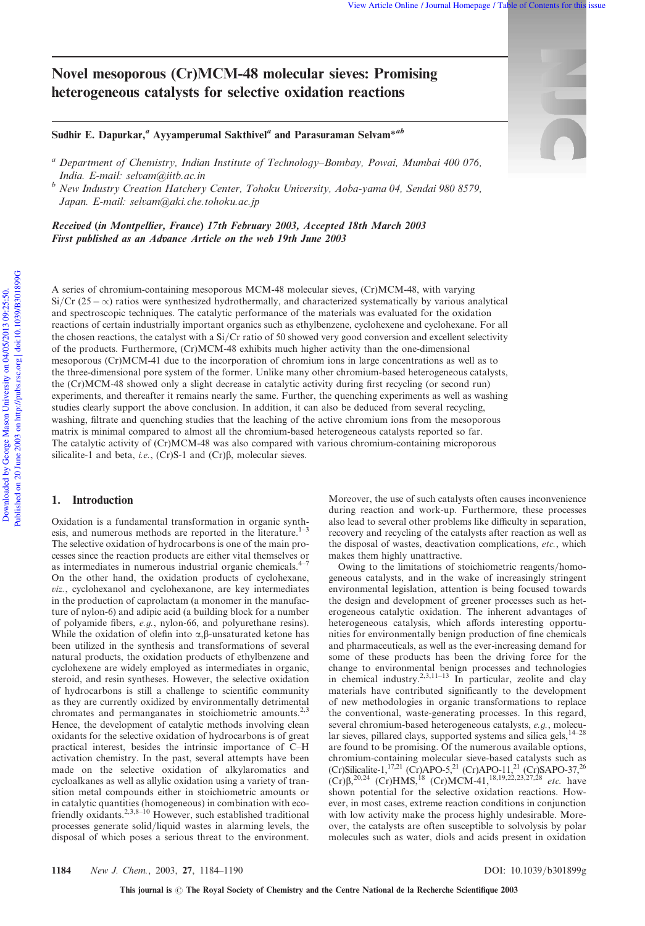# Novel mesoporous (Cr)MCM-48 molecular sieves: Promising heterogeneous catalysts for selective oxidation reactions

# Sudhir E. Dapurkar,<sup>a</sup> Ayyamperumal Sakthivel<sup>a</sup> and Parasuraman Selvam<sup>\*ab</sup>

*<sup>a</sup> Department of Chemistry, Indian Institute of Technology–Bombay, Powai, Mumbai 400 076, India. E-mail: selvam@iitb.ac.in*

*<sup>b</sup> New Industry Creation Hatchery Center, Tohoku University, Aoba-yama 04, Sendai 980 8579, Japan. E-mail: selvam@aki.che.tohoku.ac.jp*

Received (in Montpellier, France) 17th February 2003, Accepted 18th March 2003 First published as an Advance Article on the web 19th June 2003

A series of chromium-containing mesoporous MCM-48 molecular sieves, (Cr)MCM-48, with varying  $Si/Cr (25 - \infty)$  ratios were synthesized hydrothermally, and characterized systematically by various analytical and spectroscopic techniques. The catalytic performance of the materials was evaluated for the oxidation reactions of certain industrially important organics such as ethylbenzene, cyclohexene and cyclohexane. For all the chosen reactions, the catalyst with a Si/Cr ratio of 50 showed very good conversion and excellent selectivity of the products. Furthermore, (Cr)MCM-48 exhibits much higher activity than the one-dimensional mesoporous (Cr)MCM-41 due to the incorporation of chromium ions in large concentrations as well as to the three-dimensional pore system of the former. Unlike many other chromium-based heterogeneous catalysts, the (Cr)MCM-48 showed only a slight decrease in catalytic activity during first recycling (or second run) experiments, and thereafter it remains nearly the same. Further, the quenching experiments as well as washing studies clearly support the above conclusion. In addition, it can also be deduced from several recycling, washing, filtrate and quenching studies that the leaching of the active chromium ions from the mesoporous matrix is minimal compared to almost all the chromium-based heterogeneous catalysts reported so far. The catalytic activity of (Cr)MCM-48 was also compared with various chromium-containing microporous silicalite-1 and beta, *i.e.*,  $(Cr)S-1$  and  $(Cr)\beta$ , molecular sieves.

## 1. Introduction

Oxidation is a fundamental transformation in organic synthesis, and numerous methods are reported in the literature. $1-3$ The selective oxidation of hydrocarbons is one of the main processes since the reaction products are either vital themselves or as intermediates in numerous industrial organic chemicals. $4-7$ On the other hand, the oxidation products of cyclohexane, *viz.*, cyclohexanol and cyclohexanone, are key intermediates in the production of caprolactam (a monomer in the manufacture of nylon-6) and adipic acid (a building block for a number of polyamide fibers, *e.g.*, nylon-66, and polyurethane resins). While the oxidation of olefin into  $\alpha$ ,  $\beta$ -unsaturated ketone has been utilized in the synthesis and transformations of several natural products, the oxidation products of ethylbenzene and cyclohexene are widely employed as intermediates in organic, steroid, and resin syntheses. However, the selective oxidation of hydrocarbons is still a challenge to scientific community as they are currently oxidized by environmentally detrimental chromates and permanganates in stoichiometric amounts.<sup>2,3</sup> Hence, the development of catalytic methods involving clean oxidants for the selective oxidation of hydrocarbons is of great practical interest, besides the intrinsic importance of C–H activation chemistry. In the past, several attempts have been made on the selective oxidation of alkylaromatics and cycloalkanes as well as allylic oxidation using a variety of transition metal compounds either in stoichiometric amounts or in catalytic quantities (homogeneous) in combination with ecofriendly oxidants.<sup>2,3,8–10</sup> However, such established traditional processes generate solid/liquid wastes in alarming levels, the disposal of which poses a serious threat to the environment.

Moreover, the use of such catalysts often causes inconvenience during reaction and work-up. Furthermore, these processes also lead to several other problems like difficulty in separation, recovery and recycling of the catalysts after reaction as well as the disposal of wastes, deactivation complications, *etc.*, which makes them highly unattractive.

Owing to the limitations of stoichiometric reagents/homogeneous catalysts, and in the wake of increasingly stringent environmental legislation, attention is being focused towards the design and development of greener processes such as heterogeneous catalytic oxidation. The inherent advantages of heterogeneous catalysis, which affords interesting opportunities for environmentally benign production of fine chemicals and pharmaceuticals, as well as the ever-increasing demand for some of these products has been the driving force for the change to environmental benign processes and technologies in chemical industry.<sup>2,3,11-13</sup> In particular, zeolite and clay materials have contributed significantly to the development of new methodologies in organic transformations to replace the conventional, waste-generating processes. In this regard, several chromium-based heterogeneous catalysts, *e.g.*, molecular sieves, pillared clays, supported systems and silica gels, <sup>14-28</sup> are found to be promising. Of the numerous available options, chromium-containing molecular sieve-based catalysts such as (Cr)Silicalite-1,<sup>17,21</sup> (Cr)APO-5,<sup>21</sup> (Cr)APO-11,<sup>21</sup> (Cr)SAPO-37,<sup>26</sup>  $(Cr)\beta$ ,<sup>20,24</sup> (Cr)HMS,<sup>18</sup> (Cr)MCM-41,<sup>18,19,22,23,27,28</sup> *etc.* have shown potential for the selective oxidation reactions. However, in most cases, extreme reaction conditions in conjunction with low activity make the process highly undesirable. Moreover, the catalysts are often susceptible to solvolysis by polar molecules such as water, diols and acids present in oxidation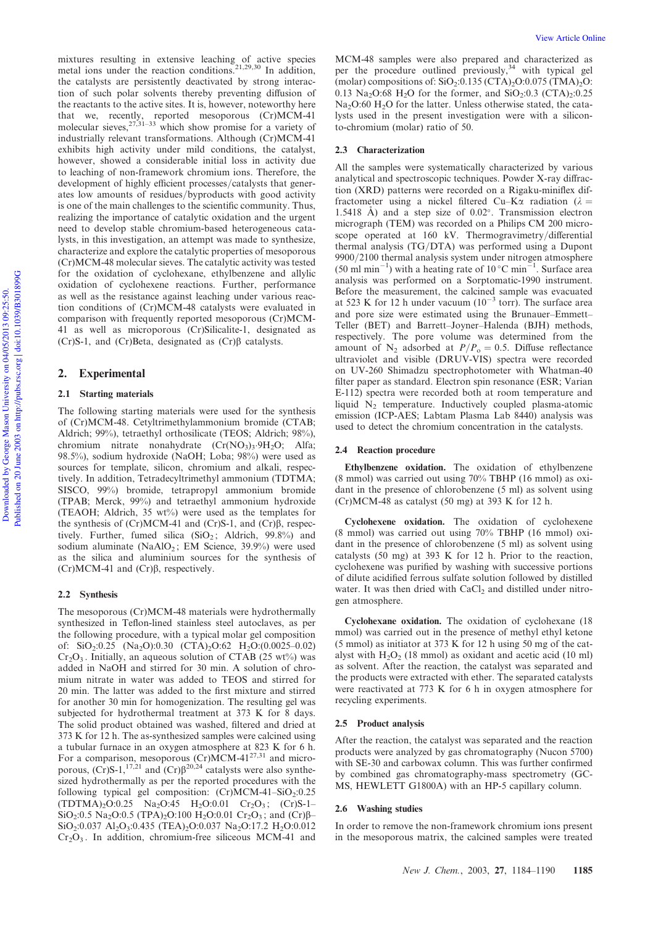mixtures resulting in extensive leaching of active species metal ions under the reaction conditions.<sup>21,29,30</sup> In addition, the catalysts are persistently deactivated by strong interaction of such polar solvents thereby preventing diffusion of the reactants to the active sites. It is, however, noteworthy here that we, recently, reported mesoporous (Cr)MCM-41 molecular sieves,  $27,31-33$  which show promise for a variety of industrially relevant transformations. Although (Cr)MCM-41 exhibits high activity under mild conditions, the catalyst, however, showed a considerable initial loss in activity due to leaching of non-framework chromium ions. Therefore, the development of highly efficient processes/catalysts that generates low amounts of residues/byproducts with good activity is one of the main challenges to the scientific community. Thus, realizing the importance of catalytic oxidation and the urgent need to develop stable chromium-based heterogeneous catalysts, in this investigation, an attempt was made to synthesize, characterize and explore the catalytic properties of mesoporous (Cr)MCM-48 molecular sieves. The catalytic activity was tested for the oxidation of cyclohexane, ethylbenzene and allylic oxidation of cyclohexene reactions. Further, performance as well as the resistance against leaching under various reaction conditions of (Cr)MCM-48 catalysts were evaluated in comparison with frequently reported mesoporous (Cr)MCM-41 as well as microporous (Cr)Silicalite-1, designated as  $(Cr)S-1$ , and  $(Cr)Beta$ , designated as  $(Cr)$  $\beta$  catalysts.

# 2. Experimental

#### 2.1 Starting materials

The following starting materials were used for the synthesis of (Cr)MCM-48. Cetyltrimethylammonium bromide (CTAB; Aldrich; 99%), tetraethyl orthosilicate (TEOS; Aldrich; 98%), chromium nitrate nonahydrate  $(Cr(NO<sub>3</sub>)<sub>3</sub>·9H<sub>2</sub>O; Alfa;$ 98.5%), sodium hydroxide (NaOH; Loba; 98%) were used as sources for template, silicon, chromium and alkali, respectively. In addition, Tetradecyltrimethyl ammonium (TDTMA; SISCO, 99%) bromide, tetrapropyl ammonium bromide (TPAB; Merck, 99%) and tetraethyl ammonium hydroxide (TEAOH; Aldrich, 35 wt%) were used as the templates for the synthesis of  $(Cr)MCM-41$  and  $(Cr)S-1$ , and  $(Cr)\beta$ , respectively. Further, fumed silica  $(SiO<sub>2</sub>;$  Aldrich, 99.8%) and sodium aluminate (NaAlO<sub>2</sub>; EM Science, 39.9%) were used as the silica and aluminium sources for the synthesis of  $(Cr)MCM-41$  and  $(Cr)\beta$ , respectively.

## 2.2 Synthesis

The mesoporous (Cr)MCM-48 materials were hydrothermally synthesized in Teflon-lined stainless steel autoclaves, as per the following procedure, with a typical molar gel composition of: SiO<sub>2</sub>:0.25 (Na<sub>2</sub>O):0.30 (CTA)<sub>2</sub>O:62 H<sub>2</sub>O:(0.0025–0.02)  $Cr_2O_3$ . Initially, an aqueous solution of CTAB (25 wt%) was added in NaOH and stirred for 30 min. A solution of chromium nitrate in water was added to TEOS and stirred for 20 min. The latter was added to the first mixture and stirred for another 30 min for homogenization. The resulting gel was subjected for hydrothermal treatment at 373 K for 8 days. The solid product obtained was washed, filtered and dried at 373 K for 12 h. The as-synthesized samples were calcined using a tubular furnace in an oxygen atmosphere at 823 K for 6 h. For a comparison, mesoporous  $(Cr)$ MCM-41<sup>27,31</sup> and microporous,  $(Cr)S-1$ , <sup>17,21</sup> and  $(Cr) \beta^{20,24}$  catalysts were also synthesized hydrothermally as per the reported procedures with the following typical gel composition:  $(Cr)MCM-41-SiO<sub>2</sub>:0.25$  $(TDTMA)_2O:0.25$  Na<sub>2</sub>O:45 H<sub>2</sub>O:0.01 Cr<sub>2</sub>O<sub>3</sub>; (Cr)S-1-SiO<sub>2</sub>:0.5 Na<sub>2</sub>O:0.5 (TPA)<sub>2</sub>O:100 H<sub>2</sub>O:0.01 Cr<sub>2</sub>O<sub>3</sub>; and (Cr) $\beta$ – SiO<sub>2</sub>:0.037 Al<sub>2</sub>O<sub>3</sub>:0.435 (TEA)<sub>2</sub>O:0.037 Na<sub>2</sub>O:17.2 H<sub>2</sub>O:0.012  $Cr<sub>2</sub>O<sub>3</sub>$ . In addition, chromium-free siliceous MCM-41 and MCM-48 samples were also prepared and characterized as per the procedure outlined previously,<sup>34</sup> with typical gel (molar) compositions of:  $SiO_2:0.135$  (CTA)<sub>2</sub>O:0.075 (TMA)<sub>2</sub>O: 0.13 Na<sub>2</sub>O:68 H<sub>2</sub>O for the former, and SiO<sub>2</sub>:0.3 (CTA)<sub>2</sub>:0.25  $Na<sub>2</sub>O:60 H<sub>2</sub>O$  for the latter. Unless otherwise stated, the catalysts used in the present investigation were with a siliconto-chromium (molar) ratio of 50.

#### 2.3 Characterization

All the samples were systematically characterized by various analytical and spectroscopic techniques. Powder X-ray diffraction (XRD) patterns were recorded on a Rigaku-miniflex diffractometer using a nickel filtered Cu–K $\alpha$  radiation ( $\lambda =$ 1.5418 Å) and a step size of 0.02°. Transmission electron micrograph (TEM) was recorded on a Philips CM 200 microscope operated at 160 kV. Thermogravimetry/differential thermal analysis (TG/DTA) was performed using a Dupont 9900/2100 thermal analysis system under nitrogen atmosphere (50 ml min<sup>-1</sup>) with a heating rate of  $10^{\circ}$ C min<sup>-1</sup>. Surface area analysis was performed on a Sorptomatic-1990 instrument. Before the measurement, the calcined sample was evacuated at 523 K for 12 h under vacuum  $(10^{-3} \text{ torr})$ . The surface area and pore size were estimated using the Brunauer–Emmett– Teller (BET) and Barrett–Joyner–Halenda (BJH) methods, respectively. The pore volume was determined from the amount of N<sub>2</sub> adsorbed at  $P/P<sub>o</sub> = 0.5$ . Diffuse reflectance ultraviolet and visible (DRUV-VIS) spectra were recorded on UV-260 Shimadzu spectrophotometer with Whatman-40 filter paper as standard. Electron spin resonance (ESR; Varian E-112) spectra were recorded both at room temperature and liquid  $N_2$  temperature. Inductively coupled plasma-atomic emission (ICP-AES; Labtam Plasma Lab 8440) analysis was used to detect the chromium concentration in the catalysts.

## 2.4 Reaction procedure

Ethylbenzene oxidation. The oxidation of ethylbenzene (8 mmol) was carried out using 70% TBHP (16 mmol) as oxidant in the presence of chlorobenzene (5 ml) as solvent using (Cr)MCM-48 as catalyst (50 mg) at 393 K for 12 h.

Cyclohexene oxidation. The oxidation of cyclohexene (8 mmol) was carried out using 70% TBHP (16 mmol) oxidant in the presence of chlorobenzene (5 ml) as solvent using catalysts (50 mg) at 393 K for 12 h. Prior to the reaction, cyclohexene was purified by washing with successive portions of dilute acidified ferrous sulfate solution followed by distilled water. It was then dried with  $CaCl<sub>2</sub>$  and distilled under nitrogen atmosphere.

Cyclohexane oxidation. The oxidation of cyclohexane (18 mmol) was carried out in the presence of methyl ethyl ketone (5 mmol) as initiator at 373 K for 12 h using 50 mg of the catalyst with  $H_2O_2$  (18 mmol) as oxidant and acetic acid (10 ml) as solvent. After the reaction, the catalyst was separated and the products were extracted with ether. The separated catalysts were reactivated at 773 K for 6 h in oxygen atmosphere for recycling experiments.

#### 2.5 Product analysis

After the reaction, the catalyst was separated and the reaction products were analyzed by gas chromatography (Nucon 5700) with SE-30 and carbowax column. This was further confirmed by combined gas chromatography-mass spectrometry (GC-MS, HEWLETT G1800A) with an HP-5 capillary column.

#### 2.6 Washing studies

In order to remove the non-framework chromium ions present in the mesoporous matrix, the calcined samples were treated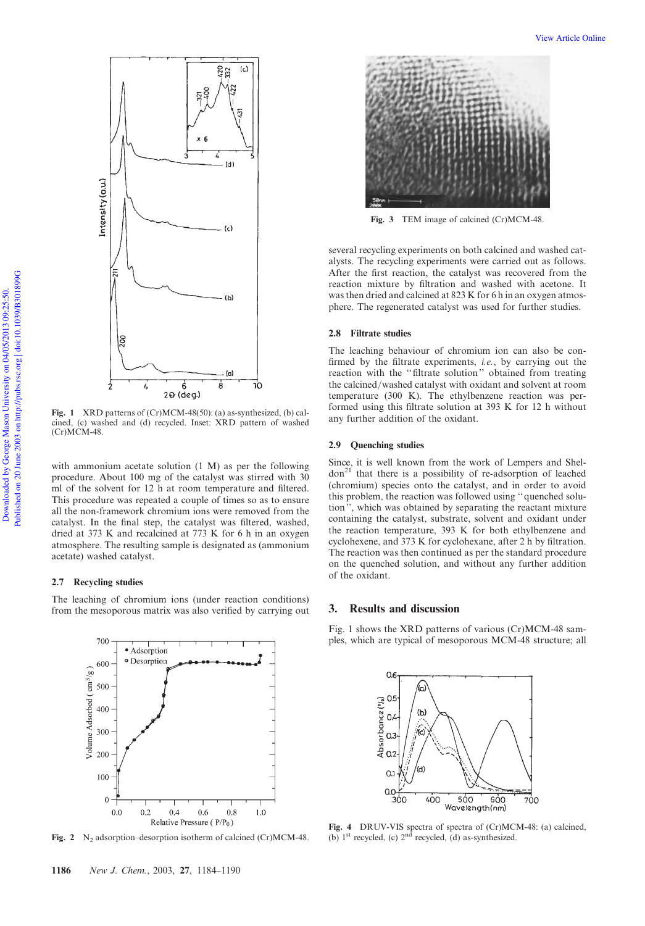

Fig. 1 XRD patterns of (Cr)MCM-48(50): (a) as-synthesized, (b) calcined, (c) washed and (d) recycled. Inset: XRD pattern of washed (Cr)MCM-48.

with ammonium acetate solution  $(1 M)$  as per the following procedure. About 100 mg of the catalyst was stirred with 30 ml of the solvent for 12 h at room temperature and filtered. This procedure was repeated a couple of times so as to ensure all the non-framework chromium ions were removed from the catalyst. In the final step, the catalyst was filtered, washed, dried at 373 K and recalcined at 773 K for 6 h in an oxygen atmosphere. The resulting sample is designated as (ammonium acetate) washed catalyst.

#### 2.7 Recycling studies

The leaching of chromium ions (under reaction conditions) from the mesoporous matrix was also verified by carrying out



Fig. 2  $N_2$  adsorption–desorption isotherm of calcined (Cr)MCM-48.



Fig. 3 TEM image of calcined (Cr)MCM-48.

several recycling experiments on both calcined and washed catalysts. The recycling experiments were carried out as follows. After the first reaction, the catalyst was recovered from the reaction mixture by filtration and washed with acetone. It was then dried and calcined at 823 K for 6 h in an oxygen atmosphere. The regenerated catalyst was used for further studies.

### 2.8 Filtrate studies

The leaching behaviour of chromium ion can also be confirmed by the filtrate experiments, *i.e.*, by carrying out the reaction with the '' filtrate solution'' obtained from treating the calcined/washed catalyst with oxidant and solvent at room temperature (300 K). The ethylbenzene reaction was performed using this filtrate solution at 393 K for 12 h without any further addition of the oxidant.

#### 2.9 Quenching studies

Since, it is well known from the work of Lempers and Shel $don<sup>21</sup>$  that there is a possibility of re-adsorption of leached (chromium) species onto the catalyst, and in order to avoid this problem, the reaction was followed using '' quenched solution'', which was obtained by separating the reactant mixture containing the catalyst, substrate, solvent and oxidant under the reaction temperature, 393 K for both ethylbenzene and cyclohexene, and 373 K for cyclohexane, after 2 h by filtration. The reaction was then continued as per the standard procedure on the quenched solution, and without any further addition of the oxidant.

## 3. Results and discussion

Fig. 1 shows the XRD patterns of various (Cr)MCM-48 samples, which are typical of mesoporous MCM-48 structure; all



Fig. 4 DRUV-VIS spectra of spectra of (Cr)MCM-48: (a) calcined, (b)  $1<sup>st</sup>$  recycled, (c)  $2<sup>nd</sup>$  recycled, (d) as-synthesized.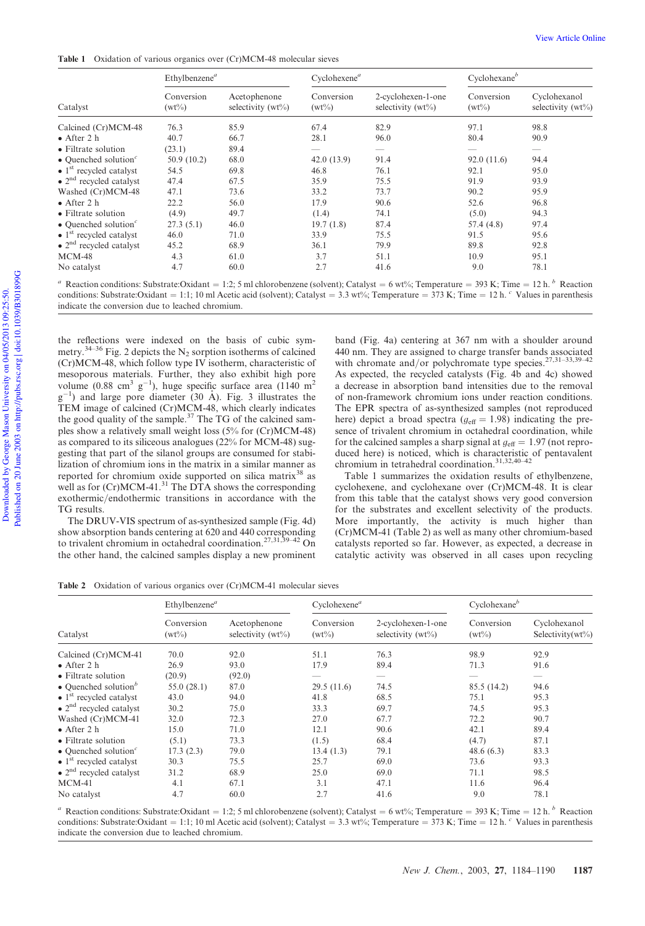Table 1 Oxidation of various organics over (Cr)MCM-48 molecular sieves

|                                               | Ethylbenzene <sup>a</sup> |                                      | $C$ yclohexene $a$     |                                            | $C$ yclohexane $\phi$  |                                      |
|-----------------------------------------------|---------------------------|--------------------------------------|------------------------|--------------------------------------------|------------------------|--------------------------------------|
| Catalyst                                      | Conversion<br>$(wt\%)$    | Acetophenone<br>selectivity $(wt\%)$ | Conversion<br>$(wt\%)$ | 2-cyclohexen-1-one<br>selectivity $(wt\%)$ | Conversion<br>$(wt\%)$ | Cyclohexanol<br>selectivity $(wt\%)$ |
| Calcined (Cr)MCM-48                           | 76.3                      | 85.9                                 | 67.4                   | 82.9                                       | 97.1                   | 98.8                                 |
| $\bullet$ After 2 h                           | 40.7                      | 66.7                                 | 28.1                   | 96.0                                       | 80.4                   | 90.9                                 |
| • Filtrate solution                           | (23.1)                    | 89.4                                 |                        |                                            |                        |                                      |
| • Quenched solution $\epsilon$                | 50.9(10.2)                | 68.0                                 | 42.0(13.9)             | 91.4                                       | 92.0(11.6)             | 94.4                                 |
| $\bullet$ 1 <sup>st</sup> recycled catalyst   | 54.5                      | 69.8                                 | 46.8                   | 76.1                                       | 92.1                   | 95.0                                 |
| $\bullet$ 2 <sup>nd</sup> recycled catalyst   | 47.4                      | 67.5                                 | 35.9                   | 75.5                                       | 91.9                   | 93.9                                 |
| Washed (Cr)MCM-48                             | 47.1                      | 73.6                                 | 33.2                   | 73.7                                       | 90.2                   | 95.9                                 |
| $\bullet$ After 2 h                           | 22.2                      | 56.0                                 | 17.9                   | 90.6                                       | 52.6                   | 96.8                                 |
| • Filtrate solution                           | (4.9)                     | 49.7                                 | (1.4)                  | 74.1                                       | (5.0)                  | 94.3                                 |
| • Quenched solution <sup><math>c</math></sup> | 27.3(5.1)                 | 46.0                                 | 19.7(1.8)              | 87.4                                       | 57.4 (4.8)             | 97.4                                 |
| $\bullet$ 1 <sup>st</sup> recycled catalyst   | 46.0                      | 71.0                                 | 33.9                   | 75.5                                       | 91.5                   | 95.6                                 |
| $\bullet$ 2 <sup>nd</sup> recycled catalyst   | 45.2                      | 68.9                                 | 36.1                   | 79.9                                       | 89.8                   | 92.8                                 |
| $MCM-48$                                      | 4.3                       | 61.0                                 | 3.7                    | 51.1                                       | 10.9                   | 95.1                                 |
| No catalyst                                   | 4.7                       | 60.0                                 | 2.7                    | 41.6                                       | 9.0                    | 78.1                                 |

*a* Reaction conditions: Substrate:Oxidant = 1:2; 5 ml chlorobenzene (solvent); Catalyst = 6 wt%; Temperature = 393 K; Time = 12 h. *b* Reaction conditions: Substrate:Oxidant = 1:1; 10 ml Acetic acid (solvent); Catalyst = 3.3 wt%; Temperature = 373 K; Time = 12 h. <sup>c</sup> Values in parenthesis indicate the conversion due to leached chromium.

the reflections were indexed on the basis of cubic symmetry.<sup>34–36</sup> Fig. 2 depicts the N<sub>2</sub> sorption isotherms of calcined (Cr)MCM-48, which follow type IV isotherm, characteristic of mesoporous materials. Further, they also exhibit high pore volume (0.88 cm<sup>3</sup> g<sup>-1</sup>), huge specific surface area (1140 m<sup>2</sup>)  $g^{-1}$ ) and large pore diameter (30 Å). Fig. 3 illustrates the TEM image of calcined (Cr)MCM-48, which clearly indicates the good quality of the sample. $37$  The TG of the calcined samples show a relatively small weight loss (5% for (Cr)MCM-48) as compared to its siliceous analogues (22% for MCM-48) suggesting that part of the silanol groups are consumed for stabilization of chromium ions in the matrix in a similar manner as reported for chromium oxide supported on silica matrix<sup>38</sup> as well as for  $(Cr)MCM-41$ .<sup>31</sup> The DTA shows the corresponding exothermic/endothermic transitions in accordance with the TG results.

The DRUV-VIS spectrum of as-synthesized sample (Fig. 4d) show absorption bands centering at 620 and 440 corresponding to trivalent chromium in octahedral coordination.<sup>27,31,39–42</sup> On the other hand, the calcined samples display a new prominent band (Fig. 4a) centering at 367 nm with a shoulder around 440 nm. They are assigned to charge transfer bands associated with chromate and/or polychromate type species.<sup>27,31–33,39–42</sup> As expected, the recycled catalysts (Fig. 4b and 4c) showed a decrease in absorption band intensities due to the removal of non-framework chromium ions under reaction conditions. The EPR spectra of as-synthesized samples (not reproduced here) depict a broad spectra ( $g_{\text{eff}} = 1.98$ ) indicating the presence of trivalent chromium in octahedral coordination, while for the calcined samples a sharp signal at  $g_{\text{eff}} = 1.97$  (not reproduced here) is noticed, which is characteristic of pentavalent chromium in tetrahedral coordination.<sup>31,32,40–42</sup>

Table 1 summarizes the oxidation results of ethylbenzene, cyclohexene, and cyclohexane over (Cr)MCM-48. It is clear from this table that the catalyst shows very good conversion for the substrates and excellent selectivity of the products. More importantly, the activity is much higher than (Cr)MCM-41 (Table 2) as well as many other chromium-based catalysts reported so far. However, as expected, a decrease in catalytic activity was observed in all cases upon recycling

|  | <b>Table 2</b> Oxidation of various organics over (Cr)MCM-41 molecular sieves |  |  |  |  |  |  |
|--|-------------------------------------------------------------------------------|--|--|--|--|--|--|
|--|-------------------------------------------------------------------------------|--|--|--|--|--|--|

|                                             | Ethylbenzene <sup>a</sup> |                                   | $C$ yclohexene $a$     |                                            | $C$ yclohexane $\theta$ |                                       |  |
|---------------------------------------------|---------------------------|-----------------------------------|------------------------|--------------------------------------------|-------------------------|---------------------------------------|--|
| Catalyst                                    | Conversion<br>$(wt\%)$    | Acetophenone<br>selectivity (wt%) | Conversion<br>$(wt\%)$ | 2-cyclohexen-1-one<br>selectivity $(wt\%)$ | Conversion<br>$(wt\%)$  | Cyclohexanol<br>Selectivity( $wt\%$ ) |  |
| Calcined (Cr)MCM-41                         | 70.0                      | 92.0                              | 51.1                   | 76.3                                       | 98.9                    | 92.9                                  |  |
| $\bullet$ After 2 h                         | 26.9                      | 93.0                              | 17.9                   | 89.4                                       | 71.3                    | 91.6                                  |  |
| • Filtrate solution                         | (20.9)                    | (92.0)                            |                        |                                            |                         |                                       |  |
| • Quenched solution <sup>b</sup>            | 55.0(28.1)                | 87.0                              | 29.5(11.6)             | 74.5                                       | 85.5 (14.2)             | 94.6                                  |  |
| $\bullet$ 1 <sup>st</sup> recycled catalyst | 43.0                      | 94.0                              | 41.8                   | 68.5                                       | 75.1                    | 95.3                                  |  |
| $\bullet$ 2 <sup>nd</sup> recycled catalyst | 30.2                      | 75.0                              | 33.3                   | 69.7                                       | 74.5                    | 95.3                                  |  |
| Washed (Cr)MCM-41                           | 32.0                      | 72.3                              | 27.0                   | 67.7                                       | 72.2                    | 90.7                                  |  |
| $\bullet$ After 2 h                         | 15.0                      | 71.0                              | 12.1                   | 90.6                                       | 42.1                    | 89.4                                  |  |
| • Filtrate solution                         | (5.1)                     | 73.3                              | (1.5)                  | 68.4                                       | (4.7)                   | 87.1                                  |  |
| • Quenched solution $\epsilon$              | 17.3(2.3)                 | 79.0                              | 13.4(1.3)              | 79.1                                       | 48.6(6.3)               | 83.3                                  |  |
| $\bullet$ 1 <sup>st</sup> recycled catalyst | 30.3                      | 75.5                              | 25.7                   | 69.0                                       | 73.6                    | 93.3                                  |  |
| $\bullet$ 2 <sup>nd</sup> recycled catalyst | 31.2                      | 68.9                              | 25.0                   | 69.0                                       | 71.1                    | 98.5                                  |  |
| $MCM-41$                                    | 4.1                       | 67.1                              | 3.1                    | 47.1                                       | 11.6                    | 96.4                                  |  |
| No catalyst                                 | 4.7                       | 60.0                              | 2.7                    | 41.6                                       | 9.0                     | 78.1                                  |  |

<sup>*a*</sup> Reaction conditions: Substrate:Oxidant = 1:2; 5 ml chlorobenzene (solvent); Catalyst = 6 wt%; Temperature = 393 K; Time = 12 h. <sup>*b*</sup> Reaction conditions: Substrate:Oxidant = 1:1; 10 ml Acetic acid (solvent); Catalyst = 3.3 wt%; Temperature = 373 K; Time = 12 h. <sup>c</sup> Values in parenthesis indicate the conversion due to leached chromium.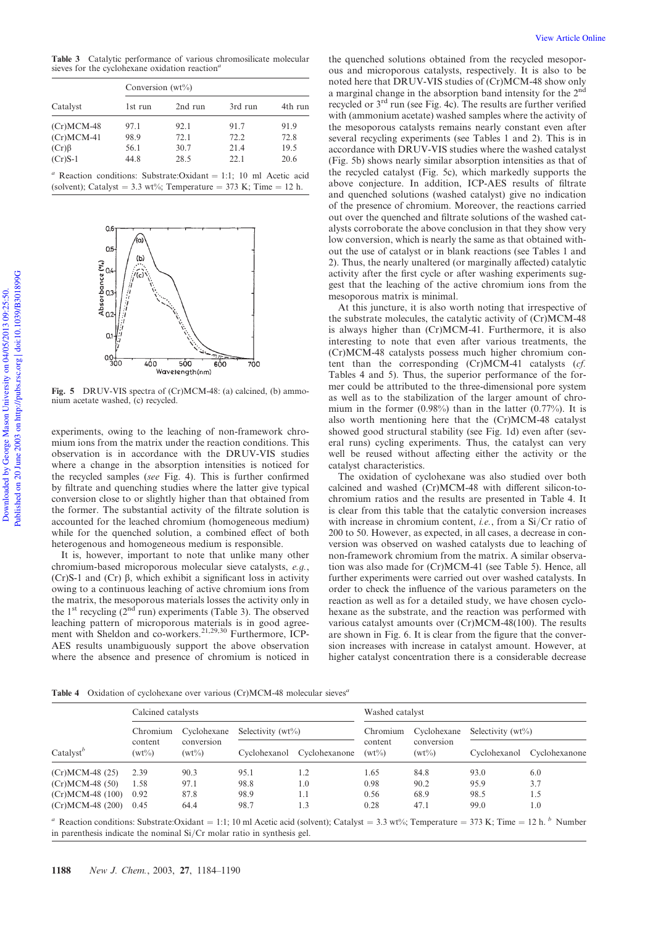Table 3 Catalytic performance of various chromosilicate molecular sieves for the cyclohexane oxidation reaction*<sup>a</sup>*

|              | Conversion $(wt\%)$ |         |         |         |  |  |  |
|--------------|---------------------|---------|---------|---------|--|--|--|
| Catalyst     | 1st run             | 2nd run | 3rd run | 4th run |  |  |  |
| $(Cr)MCM-48$ | 97.1                | 92.1    | 91.7    | 91.9    |  |  |  |
| $(Cr)MCM-41$ | 98.9                | 72.1    | 72.2    | 72.8    |  |  |  |
| $(Cr)\beta$  | 56.1                | 30.7    | 21.4    | 19.5    |  |  |  |
| $(Cr)S-1$    | 44.8                | 28.5    | 22.1    | 20.6    |  |  |  |

<sup>*a*</sup> Reaction conditions: Substrate: Oxidant = 1:1; 10 ml Acetic acid (solvent); Catalyst = 3.3 wt%; Temperature = 373 K; Time = 12 h.



Fig. 5 DRUV-VIS spectra of (Cr)MCM-48: (a) calcined, (b) ammonium acetate washed, (c) recycled.

experiments, owing to the leaching of non-framework chromium ions from the matrix under the reaction conditions. This observation is in accordance with the DRUV-VIS studies where a change in the absorption intensities is noticed for the recycled samples (*see* Fig. 4). This is further confirmed by filtrate and quenching studies where the latter give typical conversion close to or slightly higher than that obtained from the former. The substantial activity of the filtrate solution is accounted for the leached chromium (homogeneous medium) while for the quenched solution, a combined effect of both heterogenous and homogeneous medium is responsible.

It is, however, important to note that unlike many other chromium-based microporous molecular sieve catalysts, *e.g.*, (Cr)S-1 and (Cr)  $\beta$ , which exhibit a significant loss in activity owing to a continuous leaching of active chromium ions from the matrix, the mesoporous materials losses the activity only in the  $1<sup>st</sup>$  recycling ( $2<sup>nd</sup>$  run) experiments (Table 3). The observed leaching pattern of microporous materials is in good agreement with Sheldon and co-workers.<sup>21,29,30</sup> Furthermore, ICP-AES results unambiguously support the above observation where the absence and presence of chromium is noticed in

the quenched solutions obtained from the recycled mesoporous and microporous catalysts, respectively. It is also to be noted here that DRUV-VIS studies of (Cr)MCM-48 show only a marginal change in the absorption band intensity for the  $2^{nc}$ recycled or 3rd run (see Fig. 4c). The results are further verified with (ammonium acetate) washed samples where the activity of the mesoporous catalysts remains nearly constant even after several recycling experiments (see Tables 1 and 2). This is in accordance with DRUV-VIS studies where the washed catalyst (Fig. 5b) shows nearly similar absorption intensities as that of the recycled catalyst (Fig. 5c), which markedly supports the above conjecture. In addition, ICP-AES results of filtrate and quenched solutions (washed catalyst) give no indication of the presence of chromium. Moreover, the reactions carried out over the quenched and filtrate solutions of the washed catalysts corroborate the above conclusion in that they show very low conversion, which is nearly the same as that obtained without the use of catalyst or in blank reactions (see Tables 1 and 2). Thus, the nearly unaltered (or marginally affected) catalytic activity after the first cycle or after washing experiments suggest that the leaching of the active chromium ions from the mesoporous matrix is minimal.

At this juncture, it is also worth noting that irrespective of the substrate molecules, the catalytic activity of (Cr)MCM-48 is always higher than (Cr)MCM-41. Furthermore, it is also interesting to note that even after various treatments, the (Cr)MCM-48 catalysts possess much higher chromium content than the corresponding (Cr)MCM-41 catalysts (*cf.* Tables 4 and 5). Thus, the superior performance of the former could be attributed to the three-dimensional pore system as well as to the stabilization of the larger amount of chromium in the former  $(0.98\%)$  than in the latter  $(0.77\%)$ . It is also worth mentioning here that the (Cr)MCM-48 catalyst showed good structural stability (see Fig. 1d) even after (several runs) cycling experiments. Thus, the catalyst can very well be reused without affecting either the activity or the catalyst characteristics.

The oxidation of cyclohexane was also studied over both calcined and washed (Cr)MCM-48 with different silicon-tochromium ratios and the results are presented in Table 4. It is clear from this table that the catalytic conversion increases with increase in chromium content, *i.e.*, from a Si/Cr ratio of 200 to 50. However, as expected, in all cases, a decrease in conversion was observed on washed catalysts due to leaching of non-framework chromium from the matrix. A similar observation was also made for (Cr)MCM-41 (see Table 5). Hence, all further experiments were carried out over washed catalysts. In order to check the influence of the various parameters on the reaction as well as for a detailed study, we have chosen cyclohexane as the substrate, and the reaction was performed with various catalyst amounts over (Cr)MCM-48(100). The results are shown in Fig. 6. It is clear from the figure that the conversion increases with increase in catalyst amount. However, at higher catalyst concentration there is a considerable decrease

Table 4 Oxidation of cyclohexane over various (Cr)MCM-48 molecular sieves*<sup>a</sup>*

| Catalyst <sup>b</sup> | Calcined catalysts              |                        |                      |                            | Washed catalyst     |                        |                      |                            |
|-----------------------|---------------------------------|------------------------|----------------------|----------------------------|---------------------|------------------------|----------------------|----------------------------|
|                       | Chromium<br>content<br>$(wt\%)$ | Cyclohexane            | Selectivity $(wt\%)$ |                            | Chromium            | Cyclohexane            | Selectivity $(wt\%)$ |                            |
|                       |                                 | conversion<br>$(wt\%)$ |                      | Cyclohexanol Cyclohexanone | content<br>$(wt\%)$ | conversion<br>$(wt\%)$ |                      | Cyclohexanol Cyclohexanone |
| $(Cr)MCM-48(25)$      | 2.39                            | 90.3                   | 95.1                 | 1.2                        | 1.65                | 84.8                   | 93.0                 | 6.0                        |
| $(Cr)MCM-48(50)$      | 1.58                            | 97.1                   | 98.8                 | 1.0                        | 0.98                | 90.2                   | 95.9                 | 3.7                        |
| $(Cr)MCM-48(100)$     | 0.92                            | 87.8                   | 98.9                 | 1.1                        | 0.56                | 68.9                   | 98.5                 | 1.5                        |
| $(Cr)MCM-48(200)$     | 0.45                            | 64.4                   | 98.7                 |                            | 0.28                | 47.1                   | 99.0                 | 1.0                        |

<sup>*a*</sup> Reaction conditions: Substrate:Oxidant = 1:1; 10 ml Acetic acid (solvent); Catalyst = 3.3 wt%; Temperature = 373 K; Time = 12 h. <sup>*b*</sup> Number in parenthesis indicate the nominal Si/Cr molar ratio in synthesis gel.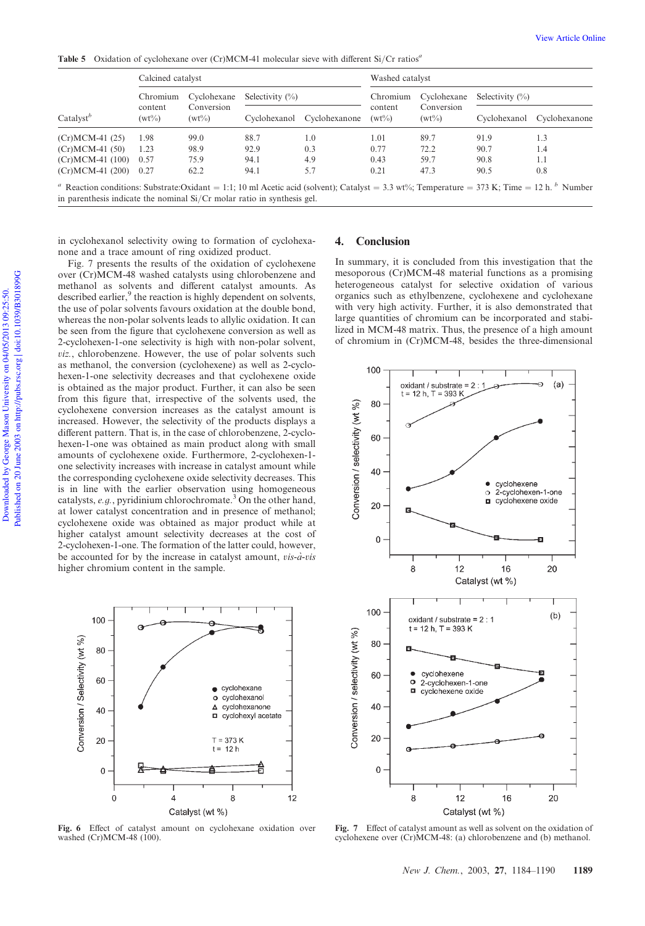Table 5 Oxidation of cyclohexane over (Cr)MCM-41 molecular sieve with different Si/Cr ratios*<sup>a</sup>*

|                                                                                                                                                                                                                          | Calcined catalyst   |                                       |                    |                            | Washed catalyst     |                        |                    |                            |
|--------------------------------------------------------------------------------------------------------------------------------------------------------------------------------------------------------------------------|---------------------|---------------------------------------|--------------------|----------------------------|---------------------|------------------------|--------------------|----------------------------|
|                                                                                                                                                                                                                          | Chromium            | Cyclohexane<br>Conversion<br>$(wt\%)$ | Selectivity $(\%)$ |                            | Chromium            | Cyclohexane            | Selectivity $(\%)$ |                            |
| $Catalyst^b$                                                                                                                                                                                                             | content<br>$(wt\%)$ |                                       |                    | Cyclohexanol Cyclohexanone | content<br>$(wt\%)$ | Conversion<br>$(wt\%)$ |                    | Cyclohexanol Cyclohexanone |
| $(Cr)MCM-41(25)$                                                                                                                                                                                                         | 1.98                | 99.0                                  | 88.7               | 1.0                        | 1.01                | 89.7                   | 91.9               | 1.3                        |
| $(Cr)MCM-41(50)$                                                                                                                                                                                                         | 1.23                | 98.9                                  | 92.9               | 0.3                        | 0.77                | 72.2                   | 90.7               | 1.4                        |
| $(Cr)MCM-41(100)$                                                                                                                                                                                                        | 0.57                | 75.9                                  | 94.1               | 4.9                        | 0.43                | 59.7                   | 90.8               | 1.1                        |
| $(Cr)MCM-41(200)$                                                                                                                                                                                                        | 0.27                | 62.2                                  | 94.1               | 5.7                        | 0.21                | 47.3                   | 90.5               | 0.8                        |
| " Reaction conditions: Substrate:Oxidant = 1:1; 10 ml Acetic acid (solvent); Catalyst = 3.3 wt%; Temperature = 373 K; Time = 12 h. " Number<br>in parenthesis indicate the nominal $Si/Cr$ molar ratio in synthesis gel. |                     |                                       |                    |                            |                     |                        |                    |                            |

in cyclohexanol selectivity owing to formation of cyclohexanone and a trace amount of ring oxidized product.

Fig. 7 presents the results of the oxidation of cyclohexene over (Cr)MCM-48 washed catalysts using chlorobenzene and methanol as solvents and different catalyst amounts. As described earlier,<sup>9</sup> the reaction is highly dependent on solvents, the use of polar solvents favours oxidation at the double bond, whereas the non-polar solvents leads to allylic oxidation. It can be seen from the figure that cyclohexene conversion as well as 2-cyclohexen-1-one selectivity is high with non-polar solvent, *viz.*, chlorobenzene. However, the use of polar solvents such as methanol, the conversion (cyclohexene) as well as 2-cyclohexen-1-one selectivity decreases and that cyclohexene oxide is obtained as the major product. Further, it can also be seen from this figure that, irrespective of the solvents used, the cyclohexene conversion increases as the catalyst amount is increased. However, the selectivity of the products displays a different pattern. That is, in the case of chlorobenzene, 2-cyclohexen-1-one was obtained as main product along with small amounts of cyclohexene oxide. Furthermore, 2-cyclohexen-1 one selectivity increases with increase in catalyst amount while the corresponding cyclohexene oxide selectivity decreases. This is in line with the earlier observation using homogeneous catalysts, *e.g.*, pyridinium chlorochromate.<sup>3</sup> On the other hand, at lower catalyst concentration and in presence of methanol; cyclohexene oxide was obtained as major product while at higher catalyst amount selectivity decreases at the cost of 2-cyclohexen-1-one. The formation of the latter could, however, be accounted for by the increase in catalyst amount, *vis-a`-vis* higher chromium content in the sample.



Fig. 6 Effect of catalyst amount on cyclohexane oxidation over washed (Cr)MCM-48 (100).

# 4. Conclusion

In summary, it is concluded from this investigation that the mesoporous (Cr)MCM-48 material functions as a promising heterogeneous catalyst for selective oxidation of various organics such as ethylbenzene, cyclohexene and cyclohexane with very high activity. Further, it is also demonstrated that large quantities of chromium can be incorporated and stabilized in MCM-48 matrix. Thus, the presence of a high amount of chromium in (Cr)MCM-48, besides the three-dimensional



Fig. 7 Effect of catalyst amount as well as solvent on the oxidation of cyclohexene over (Cr)MCM-48: (a) chlorobenzene and (b) methanol.